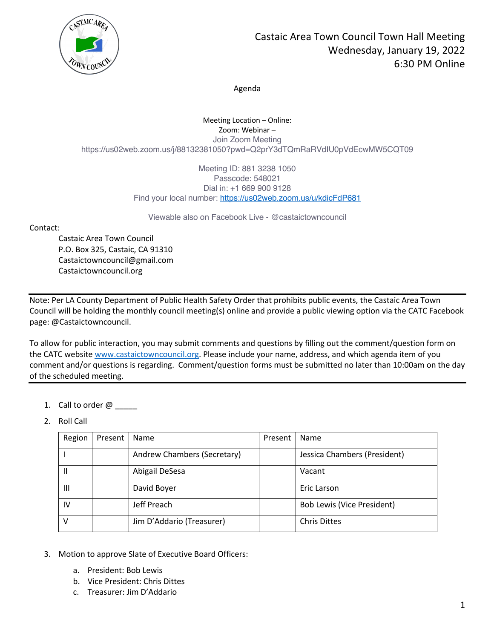

Agenda

Meeting Location – Online: Zoom: Webinar – Join Zoom Meeting https://us02web.zoom.us/j/88132381050?pwd=Q2prY3dTQmRaRVdIU0pVdEcwMW5CQT09

> Meeting ID: 881 3238 1050 Passcode: 548021 Dial in: +1 669 900 9128 Find your local number: https://us02web.zoom.us/u/kdicFdP681

Viewable also on Facebook Live - @castaictowncouncil

Contact:

Castaic Area Town Council P.O. Box 325, Castaic, CA 91310 Castaictowncouncil@gmail.com Castaictowncouncil.org

Note: Per LA County Department of Public Health Safety Order that prohibits public events, the Castaic Area Town Council will be holding the monthly council meeting(s) online and provide a public viewing option via the CATC Facebook page: @Castaictowncouncil.

To allow for public interaction, you may submit comments and questions by filling out the comment/question form on the CATC website www.castaictowncouncil.org. Please include your name, address, and which agenda item of you comment and/or questions is regarding. Comment/question forms must be submitted no later than 10:00am on the day of the scheduled meeting.

- 1. Call to order  $@$
- 2. Roll Call

| Region       | Present | Name                        | Present | Name                              |
|--------------|---------|-----------------------------|---------|-----------------------------------|
|              |         | Andrew Chambers (Secretary) |         | Jessica Chambers (President)      |
| $\mathsf{I}$ |         | Abigail DeSesa              |         | Vacant                            |
| Ш            |         | David Boyer                 |         | Eric Larson                       |
| IV           |         | Jeff Preach                 |         | <b>Bob Lewis (Vice President)</b> |
| v            |         | Jim D'Addario (Treasurer)   |         | <b>Chris Dittes</b>               |

- 3. Motion to approve Slate of Executive Board Officers:
	- a. President: Bob Lewis
	- b. Vice President: Chris Dittes
	- c. Treasurer: Jim D'Addario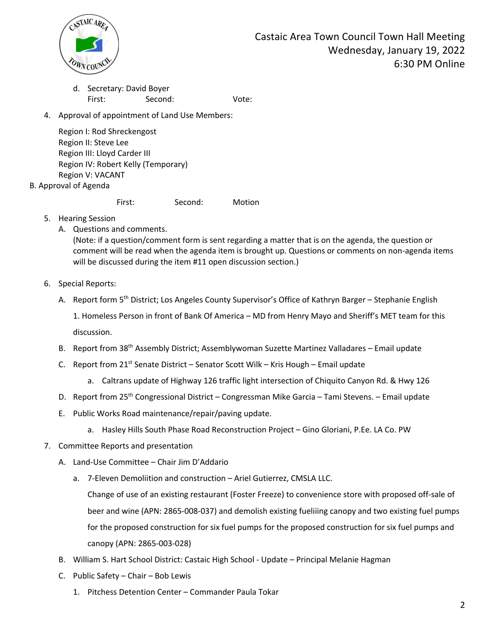

d. Secretary: David Boyer First: Second: Vote:

4. Approval of appointment of Land Use Members:

Region I: Rod Shreckengost Region II: Steve Lee Region III: Lloyd Carder III Region IV: Robert Kelly (Temporary) Region V: VACANT

B. Approval of Agenda

First: Second: Motion

- 5. Hearing Session
	- A. Questions and comments.

(Note: if a question/comment form is sent regarding a matter that is on the agenda, the question or comment will be read when the agenda item is brought up. Questions or comments on non-agenda items will be discussed during the item #11 open discussion section.)

- 6. Special Reports:
	- A. Report form 5<sup>th</sup> District; Los Angeles County Supervisor's Office of Kathryn Barger Stephanie English

1. Homeless Person in front of Bank Of America – MD from Henry Mayo and Sheriff's MET team for this discussion.

- B. Report from 38<sup>th</sup> Assembly District; Assemblywoman Suzette Martinez Valladares Email update
- C. Report from  $21^{st}$  Senate District Senator Scott Wilk Kris Hough Email update
	- a. Caltrans update of Highway 126 traffic light intersection of Chiquito Canyon Rd. & Hwy 126
- D. Report from 25<sup>th</sup> Congressional District Congressman Mike Garcia Tami Stevens. Email update
- E. Public Works Road maintenance/repair/paving update.
	- a. Hasley Hills South Phase Road Reconstruction Project Gino Gloriani, P.Ee. LA Co. PW
- 7. Committee Reports and presentation
	- A. Land-Use Committee Chair Jim D'Addario
		- a. 7-Eleven Demoliition and construction Ariel Gutierrez, CMSLA LLC.

Change of use of an existing restaurant (Foster Freeze) to convenience store with proposed off-sale of beer and wine (APN: 2865-008-037) and demolish existing fueliiing canopy and two existing fuel pumps for the proposed construction for six fuel pumps for the proposed construction for six fuel pumps and canopy (APN: 2865-003-028)

- B. William S. Hart School District: Castaic High School Update Principal Melanie Hagman
- C. Public Safety Chair Bob Lewis
	- 1. Pitchess Detention Center Commander Paula Tokar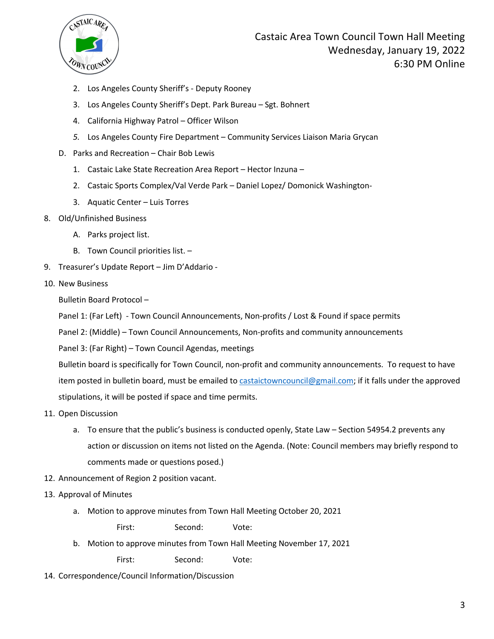

Castaic Area Town Council Town Hall Meeting Wednesday, January 19, 2022 6:30 PM Online

- 2. Los Angeles County Sheriff's Deputy Rooney
- 3. Los Angeles County Sheriff's Dept. Park Bureau Sgt. Bohnert
- 4. California Highway Patrol Officer Wilson
- *5.* Los Angeles County Fire Department Community Services Liaison Maria Grycan
- D. Parks and Recreation Chair Bob Lewis
	- 1. Castaic Lake State Recreation Area Report Hector Inzuna –
	- 2. Castaic Sports Complex/Val Verde Park Daniel Lopez/ Domonick Washington-
	- 3. Aquatic Center Luis Torres
- 8. Old/Unfinished Business
	- A. Parks project list.
	- B. Town Council priorities list. –
- 9. Treasurer's Update Report Jim D'Addario -
- 10. New Business

Bulletin Board Protocol –

Panel 1: (Far Left) - Town Council Announcements, Non-profits / Lost & Found if space permits

Panel 2: (Middle) – Town Council Announcements, Non-profits and community announcements

Panel 3: (Far Right) – Town Council Agendas, meetings

Bulletin board is specifically for Town Council, non-profit and community announcements. To request to have item posted in bulletin board, must be emailed to castaictowncouncil@gmail.com; if it falls under the approved stipulations, it will be posted if space and time permits.

- 11. Open Discussion
	- a. To ensure that the public's business is conducted openly, State Law Section 54954.2 prevents any action or discussion on items not listed on the Agenda. (Note: Council members may briefly respond to comments made or questions posed.)
- 12. Announcement of Region 2 position vacant.
- 13. Approval of Minutes
	- a. Motion to approve minutes from Town Hall Meeting October 20, 2021

First: Second: Vote:

b. Motion to approve minutes from Town Hall Meeting November 17, 2021

First: Second: Vote:

14. Correspondence/Council Information/Discussion